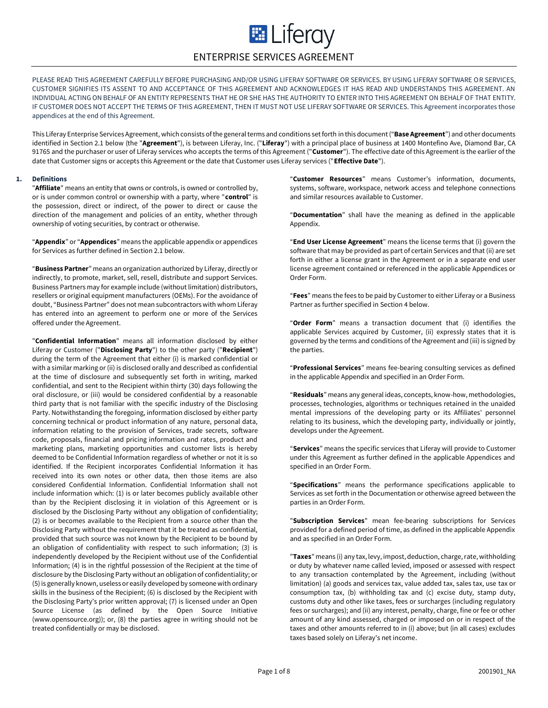# **E Literay** ENTERPRISE SERVICES AGREEMENT

PLEASE READ THIS AGREEMENT CAREFULLY BEFORE PURCHASING AND/OR USING LIFERAY SOFTWARE OR SERVICES. BY USING LIFERAY SOFTWARE OR SERVICES, CUSTOMER SIGNIFIES ITS ASSENT TO AND ACCEPTANCE OF THIS AGREEMENT AND ACKNOWLEDGES IT HAS READ AND UNDERSTANDS THIS AGREEMENT. AN INDIVIDUAL ACTING ON BEHALF OF AN ENTITY REPRESENTS THAT HE OR SHE HAS THE AUTHORITY TO ENTER INTO THIS AGREEMENT ON BEHALF OF THAT ENTITY. IF CUSTOMER DOES NOT ACCEPT THE TERMS OF THIS AGREEMENT, THEN IT MUST NOT USE LIFERAY SOFTWARE OR SERVICES. This Agreement incorporates those appendices at the end of this Agreement.

This Liferay Enterprise Services Agreement, which consists of the general terms and conditions set forth in this document ("**Base Agreement**") and other documents identified in Section 2.1 below (the "**Agreement**"), is between Liferay, Inc. ("**Liferay**") with a principal place of business at 1400 Montefino Ave, Diamond Bar, CA 91765 and the purchaser or user of Liferay services who accepts the terms of this Agreement ("**Customer**"). The effective date of this Agreement is the earlier of the date that Customer signs or accepts this Agreement or the date that Customer uses Liferay services ("**Effective Date**").

# **1. Definitions**

"**Affiliate**" means an entity that owns or controls, is owned or controlled by, or is under common control or ownership with a party, where "**control**" is the possession, direct or indirect, of the power to direct or cause the direction of the management and policies of an entity, whether through ownership of voting securities, by contract or otherwise.

"**Appendix**" or "**Appendices**" means the applicable appendix or appendices for Services as further defined in Section 2.1 below.

"**Business Partner**" means an organization authorized by Liferay, directly or indirectly, to promote, market, sell, resell, distribute and support Services. Business Partners may for example include (without limitation) distributors, resellers or original equipment manufacturers (OEMs). For the avoidance of doubt, "Business Partner" does not mean subcontractors with whom Liferay has entered into an agreement to perform one or more of the Services offered under the Agreement.

"**Confidential Information**" means all information disclosed by either Liferay or Customer ("**Disclosing Party**") to the other party ("**Recipient**") during the term of the Agreement that either (i) is marked confidential or with a similar marking or (ii) is disclosed orally and described as confidential at the time of disclosure and subsequently set forth in writing, marked confidential, and sent to the Recipient within thirty (30) days following the oral disclosure, or (iii) would be considered confidential by a reasonable third party that is not familiar with the specific industry of the Disclosing Party. Notwithstanding the foregoing, information disclosed by either party concerning technical or product information of any nature, personal data, information relating to the provision of Services, trade secrets, software code, proposals, financial and pricing information and rates, product and marketing plans, marketing opportunities and customer lists is hereby deemed to be Confidential Information regardless of whether or not it is so identified. If the Recipient incorporates Confidential Information it has received into its own notes or other data, then those items are also considered Confidential Information. Confidential Information shall not include information which: (1) is or later becomes publicly available other than by the Recipient disclosing it in violation of this Agreement or is disclosed by the Disclosing Party without any obligation of confidentiality; (2) is or becomes available to the Recipient from a source other than the Disclosing Party without the requirement that it be treated as confidential, provided that such source was not known by the Recipient to be bound by an obligation of confidentiality with respect to such information; (3) is independently developed by the Recipient without use of the Confidential Information; (4) is in the rightful possession of the Recipient at the time of disclosure by the Disclosing Party without an obligation of confidentiality; or (5) is generally known, useless or easily developed by someone with ordinary skills in the business of the Recipient; (6) is disclosed by the Recipient with the Disclosing Party's prior written approval; (7) is licensed under an Open Source License (as defined by the Open Source Initiative (www.opensource.org)); or, (8) the parties agree in writing should not be treated confidentially or may be disclosed.

"**Customer Resources**" means Customer's information, documents, systems, software, workspace, network access and telephone connections and similar resources available to Customer.

"**Documentation**" shall have the meaning as defined in the applicable Appendix.

"**End User License Agreement**" means the license terms that (i) govern the software that may be provided as part of certain Services and that (ii) are set forth in either a license grant in the Agreement or in a separate end user license agreement contained or referenced in the applicable Appendices or Order Form.

"**Fees**" means the fees to be paid by Customer to either Liferay or a Business Partner as further specified in Section 4 below.

"**Order Form**" means a transaction document that (i) identifies the applicable Services acquired by Customer, (ii) expressly states that it is governed by the terms and conditions of the Agreement and (iii) is signed by the parties.

"**Professional Services**" means fee-bearing consulting services as defined in the applicable Appendix and specified in an Order Form.

"**Residuals**" means any general ideas, concepts, know-how, methodologies, processes, technologies, algorithms or techniques retained in the unaided mental impressions of the developing party or its Affiliates' personnel relating to its business, which the developing party, individually or jointly, develops under the Agreement.

"**Services**" means the specific services that Liferay will provide to Customer under this Agreement as further defined in the applicable Appendices and specified in an Order Form.

"**Specifications**" means the performance specifications applicable to Services as set forth in the Documentation or otherwise agreed between the parties in an Order Form.

"**Subscription Services**" mean fee-bearing subscriptions for Services provided for a defined period of time, as defined in the applicable Appendix and as specified in an Order Form.

"**Taxes**" means (i) any tax, levy, impost, deduction, charge, rate, withholding or duty by whatever name called levied, imposed or assessed with respect to any transaction contemplated by the Agreement, including (without limitation) (a) goods and services tax, value added tax, sales tax, use tax or consumption tax, (b) withholding tax and (c) excise duty, stamp duty, customs duty and other like taxes, fees or surcharges (including regulatory fees or surcharges); and (ii) any interest, penalty, charge, fine or fee or other amount of any kind assessed, charged or imposed on or in respect of the taxes and other amounts referred to in (i) above; but (in all cases) excludes taxes based solely on Liferay's net income.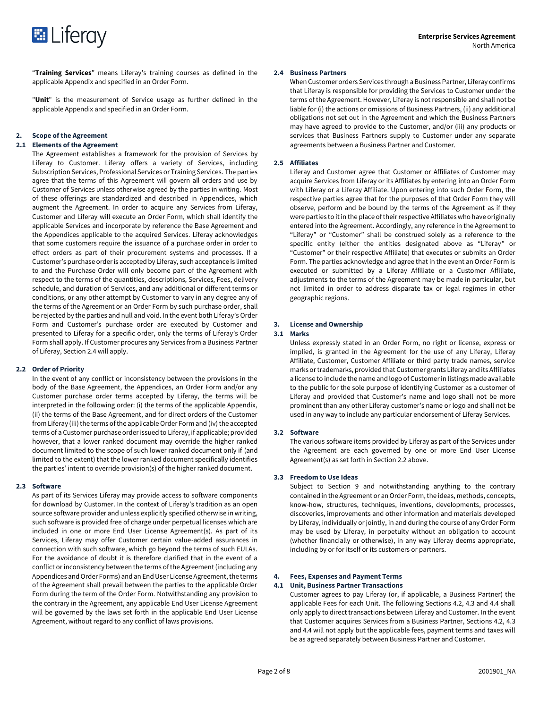

"**Training Services**" means Liferay's training courses as defined in the applicable Appendix and specified in an Order Form.

"**Unit**" is the measurement of Service usage as further defined in the applicable Appendix and specified in an Order Form.

#### **2. Scope of the Agreement**

#### **2.1 Elements of the Agreement**

The Agreement establishes a framework for the provision of Services by Liferay to Customer. Liferay offers a variety of Services, including Subscription Services, Professional Services or Training Services. The parties agree that the terms of this Agreement will govern all orders and use by Customer of Services unless otherwise agreed by the parties in writing. Most of these offerings are standardized and described in Appendices, which augment the Agreement. In order to acquire any Services from Liferay, Customer and Liferay will execute an Order Form, which shall identify the applicable Services and incorporate by reference the Base Agreement and the Appendices applicable to the acquired Services. Liferay acknowledges that some customers require the issuance of a purchase order in order to effect orders as part of their procurement systems and processes. If a Customer's purchase order is accepted by Liferay, such acceptance is limited to and the Purchase Order will only become part of the Agreement with respect to the terms of the quantities, descriptions, Services, Fees, delivery schedule, and duration of Services, and any additional or different terms or conditions, or any other attempt by Customer to vary in any degree any of the terms of the Agreement or an Order Form by such purchase order, shall be rejected by the parties and null and void. In the event both Liferay's Order Form and Customer's purchase order are executed by Customer and presented to Liferay for a specific order, only the terms of Liferay's Order Form shall apply. If Customer procures any Services from a Business Partner of Liferay, Section 2.4 will apply.

#### **2.2 Order of Priority**

In the event of any conflict or inconsistency between the provisions in the body of the Base Agreement, the Appendices, an Order Form and/or any Customer purchase order terms accepted by Liferay, the terms will be interpreted in the following order: (i) the terms of the applicable Appendix, (ii) the terms of the Base Agreement, and for direct orders of the Customer from Liferay (iii) the terms of the applicable Order Form and (iv) the accepted terms of a Customer purchase order issued to Liferay, if applicable; provided however, that a lower ranked document may override the higher ranked document limited to the scope of such lower ranked document only if (and limited to the extent) that the lower ranked document specifically identifies the parties' intent to override provision(s) of the higher ranked document.

# **2.3 Software**

As part of its Services Liferay may provide access to software components for download by Customer. In the context of Liferay's tradition as an open source software provider and unless explicitly specified otherwise in writing, such software is provided free of charge under perpetual licenses which are included in one or more End User License Agreement(s). As part of its Services, Liferay may offer Customer certain value-added assurances in connection with such software, which go beyond the terms of such EULAs. For the avoidance of doubt it is therefore clarified that in the event of a conflict or inconsistency between the terms of the Agreement (including any Appendices and Order Forms) and an End User License Agreement, the terms of the Agreement shall prevail between the parties to the applicable Order Form during the term of the Order Form. Notwithstanding any provision to the contrary in the Agreement, any applicable End User License Agreement will be governed by the laws set forth in the applicable End User License Agreement, without regard to any conflict of laws provisions.

# **2.4 Business Partners**

When Customer orders Services through a Business Partner, Liferay confirms that Liferay is responsible for providing the Services to Customer under the terms of the Agreement. However, Liferay is not responsible and shall not be liable for (i) the actions or omissions of Business Partners, (ii) any additional obligations not set out in the Agreement and which the Business Partners may have agreed to provide to the Customer, and/or (iii) any products or services that Business Partners supply to Customer under any separate agreements between a Business Partner and Customer.

# **2.5 Affiliates**

Liferay and Customer agree that Customer or Affiliates of Customer may acquire Services from Liferay or its Affiliates by entering into an Order Form with Liferay or a Liferay Affiliate. Upon entering into such Order Form, the respective parties agree that for the purposes of that Order Form they will observe, perform and be bound by the terms of the Agreement as if they were parties to it in the place of their respective Affiliates who have originally entered into the Agreement. Accordingly, any reference in the Agreement to "Liferay" or "Customer" shall be construed solely as a reference to the specific entity (either the entities designated above as "Liferay" or "Customer" or their respective Affiliate) that executes or submits an Order Form. The parties acknowledge and agree that in the event an Order Form is executed or submitted by a Liferay Affiliate or a Customer Affiliate, adjustments to the terms of the Agreement may be made in particular, but not limited in order to address disparate tax or legal regimes in other geographic regions.

# **3. License and Ownership**

# **3.1 Marks**

Unless expressly stated in an Order Form, no right or license, express or implied, is granted in the Agreement for the use of any Liferay, Liferay Affiliate, Customer, Customer Affiliate or third party trade names, service marks or trademarks, provided that Customer grants Liferay and its Affiliates a license to include the name and logo of Customer in listings made available to the public for the sole purpose of identifying Customer as a customer of Liferay and provided that Customer's name and logo shall not be more prominent than any other Liferay customer's name or logo and shall not be used in any way to include any particular endorsement of Liferay Services.

# **3.2 Software**

The various software items provided by Liferay as part of the Services under the Agreement are each governed by one or more End User License Agreement(s) as set forth in Section 2.2 above.

# **3.3 Freedom to Use Ideas**

Subject to Section 9 and notwithstanding anything to the contrary contained in the Agreement or an Order Form, the ideas, methods, concepts, know-how, structures, techniques, inventions, developments, processes, discoveries, improvements and other information and materials developed by Liferay, individually or jointly, in and during the course of any Order Form may be used by Liferay, in perpetuity without an obligation to account (whether financially or otherwise), in any way Liferay deems appropriate, including by or for itself or its customers or partners.

# **4. Fees, Expenses and Payment Terms**

# **4.1 Unit, Business Partner Transactions**

Customer agrees to pay Liferay (or, if applicable, a Business Partner) the applicable Fees for each Unit. The following Sections 4.2, 4.3 and 4.4 shall only apply to direct transactions between Liferay and Customer. In the event that Customer acquires Services from a Business Partner, Sections 4.2, 4.3 and 4.4 will not apply but the applicable fees, payment terms and taxes will be as agreed separately between Business Partner and Customer.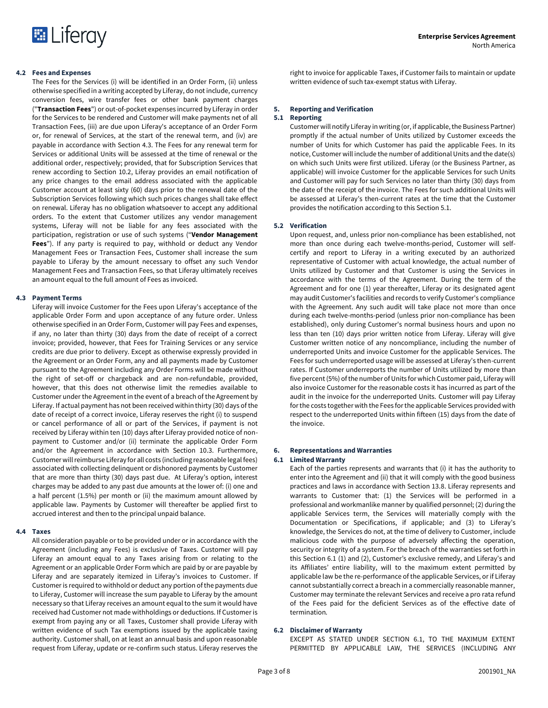

## **4.2 Fees and Expenses**

The Fees for the Services (i) will be identified in an Order Form, (ii) unless otherwise specified in a writing accepted by Liferay, do not include, currency conversion fees, wire transfer fees or other bank payment charges ("**Transaction Fees**") or out-of-pocket expenses incurred by Liferay in order for the Services to be rendered and Customer will make payments net of all Transaction Fees, (iii) are due upon Liferay's acceptance of an Order Form or, for renewal of Services, at the start of the renewal term, and (iv) are payable in accordance with Section 4.3. The Fees for any renewal term for Services or additional Units will be assessed at the time of renewal or the additional order, respectively; provided, that for Subscription Services that renew according to Section 10.2, Liferay provides an email notification of any price changes to the email address associated with the applicable Customer account at least sixty (60) days prior to the renewal date of the Subscription Services following which such prices changes shall take effect on renewal. Liferay has no obligation whatsoever to accept any additional orders. To the extent that Customer utilizes any vendor management systems, Liferay will not be liable for any fees associated with the participation, registration or use of such systems ("**Vendor Management Fees**"). If any party is required to pay, withhold or deduct any Vendor Management Fees or Transaction Fees, Customer shall increase the sum payable to Liferay by the amount necessary to offset any such Vendor Management Fees and Transaction Fees, so that Liferay ultimately receives an amount equal to the full amount of Fees as invoiced.

## **4.3 Payment Terms**

Liferay will invoice Customer for the Fees upon Liferay's acceptance of the applicable Order Form and upon acceptance of any future order. Unless otherwise specified in an Order Form, Customer will pay Fees and expenses, if any, no later than thirty (30) days from the date of receipt of a correct invoice; provided, however, that Fees for Training Services or any service credits are due prior to delivery. Except as otherwise expressly provided in the Agreement or an Order Form, any and all payments made by Customer pursuant to the Agreement including any Order Forms will be made without the right of set-off or chargeback and are non-refundable, provided, however, that this does not otherwise limit the remedies available to Customer under the Agreement in the event of a breach of the Agreement by Liferay. If actual payment has not been received within thirty (30) days of the date of receipt of a correct invoice, Liferay reserves the right (i) to suspend or cancel performance of all or part of the Services, if payment is not received by Liferay within ten (10) days after Liferay provided notice of nonpayment to Customer and/or (ii) terminate the applicable Order Form and/or the Agreement in accordance with Section 10.3. Furthermore, Customer will reimburse Liferay for all costs (including reasonable legal fees) associated with collecting delinquent or dishonored payments by Customer that are more than thirty (30) days past due. At Liferay's option, interest charges may be added to any past due amounts at the lower of: (i) one and a half percent (1.5%) per month or (ii) the maximum amount allowed by applicable law. Payments by Customer will thereafter be applied first to accrued interest and then to the principal unpaid balance.

#### **4.4 Taxes**

All consideration payable or to be provided under or in accordance with the Agreement (including any Fees) is exclusive of Taxes. Customer will pay Liferay an amount equal to any Taxes arising from or relating to the Agreement or an applicable Order Form which are paid by or are payable by Liferay and are separately itemized in Liferay's invoices to Customer. If Customer is required to withhold or deduct any portion of the payments due to Liferay, Customer will increase the sum payable to Liferay by the amount necessary so that Liferay receives an amount equal to the sum it would have received had Customer not made withholdings or deductions. If Customer is exempt from paying any or all Taxes, Customer shall provide Liferay with written evidence of such Tax exemptions issued by the applicable taxing authority. Customer shall, on at least an annual basis and upon reasonable request from Liferay, update or re-confirm such status. Liferay reserves the

right to invoice for applicable Taxes, if Customer fails to maintain or update written evidence of such tax-exempt status with Liferay.

# **5. Reporting and Verification**

# **5.1 Reporting**

Customer will notify Liferay in writing (or, if applicable, the Business Partner) promptly if the actual number of Units utilized by Customer exceeds the number of Units for which Customer has paid the applicable Fees. In its notice, Customer will include the number of additional Units and the date(s) on which such Units were first utilized. Liferay (or the Business Partner, as applicable) will invoice Customer for the applicable Services for such Units and Customer will pay for such Services no later than thirty (30) days from the date of the receipt of the invoice. The Fees for such additional Units will be assessed at Liferay's then-current rates at the time that the Customer provides the notification according to this Section 5.1.

#### **5.2 Verification**

Upon request, and, unless prior non-compliance has been established, not more than once during each twelve-months-period, Customer will selfcertify and report to Liferay in a writing executed by an authorized representative of Customer with actual knowledge, the actual number of Units utilized by Customer and that Customer is using the Services in accordance with the terms of the Agreement. During the term of the Agreement and for one (1) year thereafter, Liferay or its designated agent may audit Customer's facilities and records to verify Customer's compliance with the Agreement. Any such audit will take place not more than once during each twelve-months-period (unless prior non-compliance has been established), only during Customer's normal business hours and upon no less than ten (10) days prior written notice from Liferay. Liferay will give Customer written notice of any noncompliance, including the number of underreported Units and invoice Customer for the applicable Services. The Fees for such underreported usage will be assessed at Liferay's then-current rates. If Customer underreports the number of Units utilized by more than five percent (5%) of the number of Units for which Customer paid, Liferay will also invoice Customer for the reasonable costs it has incurred as part of the audit in the invoice for the underreported Units. Customer will pay Liferay for the costs together with the Fees for the applicable Services provided with respect to the underreported Units within fifteen (15) days from the date of the invoice.

#### **6. Representations and Warranties 6.1 Limited Warranty**

Each of the parties represents and warrants that (i) it has the authority to enter into the Agreement and (ii) that it will comply with the good business practices and laws in accordance with Section 13.8. Liferay represents and warrants to Customer that: (1) the Services will be performed in a professional and workmanlike manner by qualified personnel; (2) during the applicable Services term, the Services will materially comply with the Documentation or Specifications, if applicable; and (3) to Liferay's knowledge, the Services do not, at the time of delivery to Customer, include malicious code with the purpose of adversely affecting the operation, security or integrity of a system. For the breach of the warranties set forth in this Section 6.1 (1) and (2), Customer's exclusive remedy, and Liferay's and its Affiliates' entire liability, will to the maximum extent permitted by applicable law be the re-performance of the applicable Services, or if Liferay cannot substantially correct a breach in a commercially reasonable manner, Customer may terminate the relevant Services and receive a pro rata refund of the Fees paid for the deficient Services as of the effective date of termination.

#### **6.2 Disclaimer of Warranty**

EXCEPT AS STATED UNDER SECTION 6.1, TO THE MAXIMUM EXTENT PERMITTED BY APPLICABLE LAW, THE SERVICES (INCLUDING ANY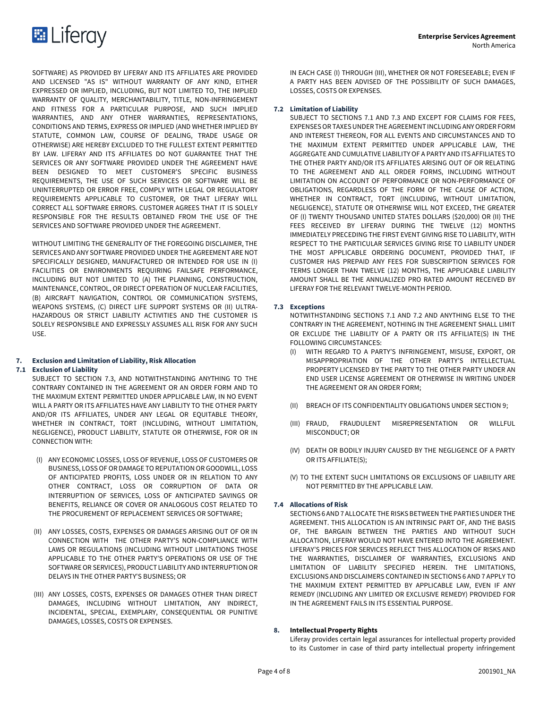SOFTWARE) AS PROVIDED BY LIFERAY AND ITS AFFILIATES ARE PROVIDED AND LICENSED "AS IS" WITHOUT WARRANTY OF ANY KIND, EITHER EXPRESSED OR IMPLIED, INCLUDING, BUT NOT LIMITED TO, THE IMPLIED WARRANTY OF QUALITY, MERCHANTABILITY, TITLE, NON-INFRINGEMENT AND FITNESS FOR A PARTICULAR PURPOSE, AND SUCH IMPLIED WARRANTIES, AND ANY OTHER WARRANTIES, REPRESENTATIONS, CONDITIONS AND TERMS, EXPRESS OR IMPLIED (AND WHETHER IMPLIED BY STATUTE, COMMON LAW, COURSE OF DEALING, TRADE USAGE OR OTHERWISE) ARE HEREBY EXCLUDED TO THE FULLEST EXTENT PERMITTED BY LAW. LIFERAY AND ITS AFFILIATES DO NOT GUARANTEE THAT THE SERVICES OR ANY SOFTWARE PROVIDED UNDER THE AGREEMENT HAVE BEEN DESIGNED TO MEET CUSTOMER'S SPECIFIC BUSINESS REQUIREMENTS, THE USE OF SUCH SERVICES OR SOFTWARE WILL BE UNINTERRUPTED OR ERROR FREE, COMPLY WITH LEGAL OR REGULATORY REQUIREMENTS APPLICABLE TO CUSTOMER, OR THAT LIFERAY WILL CORRECT ALL SOFTWARE ERRORS. CUSTOMER AGREES THAT IT IS SOLELY RESPONSIBLE FOR THE RESULTS OBTAINED FROM THE USE OF THE SERVICES AND SOFTWARE PROVIDED UNDER THE AGREEMENT.

WITHOUT LIMITING THE GENERALITY OF THE FOREGOING DISCLAIMER, THE SERVICES AND ANY SOFTWARE PROVIDED UNDER THE AGREEMENT ARE NOT SPECIFICALLY DESIGNED, MANUFACTURED OR INTENDED FOR USE IN (I) FACILITIES OR ENVIRONMENTS REQUIRING FAILSAFE PERFORMANCE, INCLUDING BUT NOT LIMITED TO (A) THE PLANNING, CONSTRUCTION, MAINTENANCE, CONTROL, OR DIRECT OPERATION OF NUCLEAR FACILITIES, (B) AIRCRAFT NAVIGATION, CONTROL OR COMMUNICATION SYSTEMS, WEAPONS SYSTEMS, (C) DIRECT LIFE SUPPORT SYSTEMS OR (II) ULTRA-HAZARDOUS OR STRICT LIABILITY ACTIVITIES AND THE CUSTOMER IS SOLELY RESPONSIBLE AND EXPRESSLY ASSUMES ALL RISK FOR ANY SUCH USE.

# **7. Exclusion and Limitation of Liability, Risk Allocation**

# **7.1 Exclusion of Liability**

SUBJECT TO SECTION 7.3, AND NOTWITHSTANDING ANYTHING TO THE CONTRARY CONTAINED IN THE AGREEMENT OR AN ORDER FORM AND TO THE MAXIMUM EXTENT PERMITTED UNDER APPLICABLE LAW, IN NO EVENT WILL A PARTY OR ITS AFFILIATES HAVE ANY LIABILITY TO THE OTHER PARTY AND/OR ITS AFFILIATES, UNDER ANY LEGAL OR EQUITABLE THEORY, WHETHER IN CONTRACT, TORT (INCLUDING, WITHOUT LIMITATION, NEGLIGENCE), PRODUCT LIABILITY, STATUTE OR OTHERWISE, FOR OR IN CONNECTION WITH:

- (I) ANY ECONOMIC LOSSES, LOSS OF REVENUE, LOSS OF CUSTOMERS OR BUSINESS, LOSS OF OR DAMAGE TO REPUTATION OR GOODWILL, LOSS OF ANTICIPATED PROFITS, LOSS UNDER OR IN RELATION TO ANY OTHER CONTRACT, LOSS OR CORRUPTION OF DATA OR INTERRUPTION OF SERVICES, LOSS OF ANTICIPATED SAVINGS OR BENEFITS, RELIANCE OR COVER OR ANALOGOUS COST RELATED TO THE PROCUREMENT OF REPLACEMENT SERVICES OR SOFTWARE;
- (II) ANY LOSSES, COSTS, EXPENSES OR DAMAGES ARISING OUT OF OR IN CONNECTION WITH THE OTHER PARTY'S NON-COMPLIANCE WITH LAWS OR REGULATIONS (INCLUDING WITHOUT LIMITATIONS THOSE APPLICABLE TO THE OTHER PARTY'S OPERATIONS OR USE OF THE SOFTWARE OR SERVICES), PRODUCT LIABILITY AND INTERRUPTION OR DELAYS IN THE OTHER PARTY'S BUSINESS; OR
- (III) ANY LOSSES, COSTS, EXPENSES OR DAMAGES OTHER THAN DIRECT DAMAGES, INCLUDING WITHOUT LIMITATION, ANY INDIRECT, INCIDENTAL, SPECIAL, EXEMPLARY, CONSEQUENTIAL OR PUNITIVE DAMAGES, LOSSES, COSTS OR EXPENSES.

IN EACH CASE (I) THROUGH (III), WHETHER OR NOT FORESEEABLE; EVEN IF A PARTY HAS BEEN ADVISED OF THE POSSIBILITY OF SUCH DAMAGES, LOSSES, COSTS OR EXPENSES.

# **7.2 Limitation of Liability**

SUBJECT TO SECTIONS 7.1 AND 7.3 AND EXCEPT FOR CLAIMS FOR FEES, EXPENSES OR TAXES UNDER THE AGREEMENT INCLUDING ANY ORDER FORM AND INTEREST THEREON, FOR ALL EVENTS AND CIRCUMSTANCES AND TO THE MAXIMUM EXTENT PERMITTED UNDER APPLICABLE LAW, THE AGGREGATE AND CUMULATIVE LIABILITY OF A PARTY AND ITS AFFILIATES TO THE OTHER PARTY AND/OR ITS AFFILIATES ARISING OUT OF OR RELATING TO THE AGREEMENT AND ALL ORDER FORMS, INCLUDING WITHOUT LIMITATION ON ACCOUNT OF PERFORMANCE OR NON-PERFORMANCE OF OBLIGATIONS, REGARDLESS OF THE FORM OF THE CAUSE OF ACTION, WHETHER IN CONTRACT, TORT (INCLUDING, WITHOUT LIMITATION, NEGLIGENCE), STATUTE OR OTHERWISE WILL NOT EXCEED, THE GREATER OF (I) TWENTY THOUSAND UNITED STATES DOLLARS (\$20,000) OR (II) THE FEES RECEIVED BY LIFERAY DURING THE TWELVE (12) MONTHS IMMEDIATELY PRECEDING THE FIRST EVENT GIVING RISE TO LIABILITY, WITH RESPECT TO THE PARTICULAR SERVICES GIVING RISE TO LIABILITY UNDER THE MOST APPLICABLE ORDERING DOCUMENT, PROVIDED THAT, IF CUSTOMER HAS PREPAID ANY FEES FOR SUBSCRIPTION SERVICES FOR TERMS LONGER THAN TWELVE (12) MONTHS, THE APPLICABLE LIABILITY AMOUNT SHALL BE THE ANNUALIZED PRO RATED AMOUNT RECEIVED BY LIFERAY FOR THE RELEVANT TWELVE-MONTH PERIOD.

# **7.3 Exceptions**

NOTWITHSTANDING SECTIONS 7.1 AND 7.2 AND ANYTHING ELSE TO THE CONTRARY IN THE AGREEMENT, NOTHING IN THE AGREEMENT SHALL LIMIT OR EXCLUDE THE LIABILITY OF A PARTY OR ITS AFFILIATE(S) IN THE FOLLOWING CIRCUMSTANCES:

- (I) WITH REGARD TO A PARTY'S INFRINGEMENT, MISUSE, EXPORT, OR MISAPPROPRIATION OF THE OTHER PARTY'S INTELLECTUAL PROPERTY LICENSED BY THE PARTY TO THE OTHER PARTY UNDER AN END USER LICENSE AGREEMENT OR OTHERWISE IN WRITING UNDER THE AGREEMENT OR AN ORDER FORM;
- (II) BREACH OF ITS CONFIDENTIALITY OBLIGATIONS UNDER SECTION 9;
- (III) FRAUD, FRAUDULENT MISREPRESENTATION OR WILLFUL MISCONDUCT; OR
- (IV) DEATH OR BODILY INJURY CAUSED BY THE NEGLIGENCE OF A PARTY OR ITS AFFILIATE(S);
- (V) TO THE EXTENT SUCH LIMITATIONS OR EXCLUSIONS OF LIABILITY ARE NOT PERMITTED BY THE APPLICABLE LAW.

# **7.4 Allocations of Risk**

SECTIONS 6 AND 7 ALLOCATE THE RISKS BETWEEN THE PARTIES UNDER THE AGREEMENT. THIS ALLOCATION IS AN INTRINSIC PART OF, AND THE BASIS OF, THE BARGAIN BETWEEN THE PARTIES AND WITHOUT SUCH ALLOCATION, LIFERAY WOULD NOT HAVE ENTERED INTO THE AGREEMENT. LIFERAY'S PRICES FOR SERVICES REFLECT THIS ALLOCATION OF RISKS AND THE WARRANTIES, DISCLAIMER OF WARRANTIES, EXCLUSIONS AND LIMITATION OF LIABILITY SPECIFIED HEREIN. THE LIMITATIONS, EXCLUSIONS AND DISCLAIMERS CONTAINED IN SECTIONS 6 AND 7 APPLY TO THE MAXIMUM EXTENT PERMITTED BY APPLICABLE LAW, EVEN IF ANY REMEDY (INCLUDING ANY LIMITED OR EXCLUSIVE REMEDY) PROVIDED FOR IN THE AGREEMENT FAILS IN ITS ESSENTIAL PURPOSE.

# **8. Intellectual Property Rights**

Liferay provides certain legal assurances for intellectual property provided to its Customer in case of third party intellectual property infringement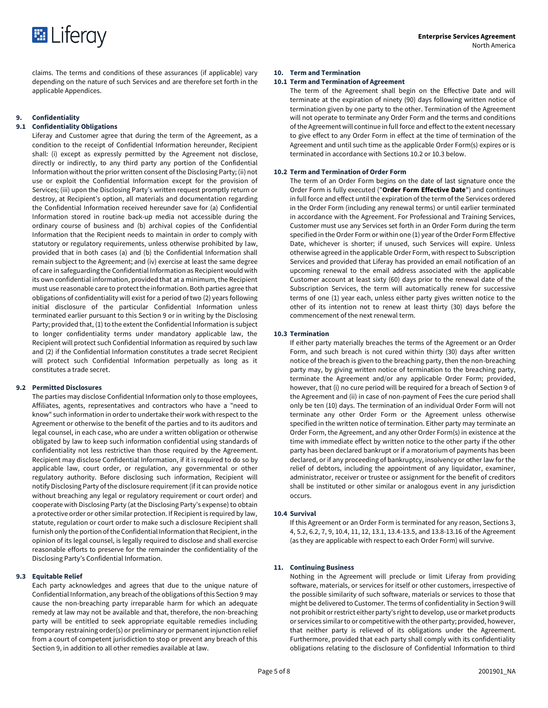

claims. The terms and conditions of these assurances (if applicable) vary depending on the nature of such Services and are therefore set forth in the applicable Appendices.

# **9. Confidentiality**

# **9.1 Confidentiality Obligations**

Liferay and Customer agree that during the term of the Agreement, as a condition to the receipt of Confidential Information hereunder, Recipient shall: (i) except as expressly permitted by the Agreement not disclose, directly or indirectly, to any third party any portion of the Confidential Information without the prior written consent of the Disclosing Party; (ii) not use or exploit the Confidential Information except for the provision of Services; (iii) upon the Disclosing Party's written request promptly return or destroy, at Recipient's option, all materials and documentation regarding the Confidential Information received hereunder save for (a) Confidential Information stored in routine back-up media not accessible during the ordinary course of business and (b) archival copies of the Confidential Information that the Recipient needs to maintain in order to comply with statutory or regulatory requirements, unless otherwise prohibited by law, provided that in both cases (a) and (b) the Confidential Information shall remain subject to the Agreement; and (iv) exercise at least the same degree of care in safeguarding the Confidential Information as Recipient would with its own confidential information, provided that at a minimum, the Recipient must use reasonable care to protect the information. Both parties agree that obligations of confidentiality will exist for a period of two (2) years following initial disclosure of the particular Confidential Information unless terminated earlier pursuant to this Section 9 or in writing by the Disclosing Party; provided that, (1) to the extent the Confidential Information is subject to longer confidentiality terms under mandatory applicable law, the Recipient will protect such Confidential Information as required by such law and (2) if the Confidential Information constitutes a trade secret Recipient will protect such Confidential Information perpetually as long as it constitutes a trade secret.

# **9.2 Permitted Disclosures**

The parties may disclose Confidential Information only to those employees, Affiliates, agents, representatives and contractors who have a "need to know" such information in order to undertake their work with respect to the Agreement or otherwise to the benefit of the parties and to its auditors and legal counsel, in each case, who are under a written obligation or otherwise obligated by law to keep such information confidential using standards of confidentiality not less restrictive than those required by the Agreement. Recipient may disclose Confidential Information, if it is required to do so by applicable law, court order, or regulation, any governmental or other regulatory authority. Before disclosing such information, Recipient will notify Disclosing Party of the disclosure requirement (if it can provide notice without breaching any legal or regulatory requirement or court order) and cooperate with Disclosing Party (at the Disclosing Party's expense) to obtain a protective order or other similar protection. If Recipient is required by law, statute, regulation or court order to make such a disclosure Recipient shall furnish only the portion of the Confidential Information that Recipient, in the opinion of its legal counsel, is legally required to disclose and shall exercise reasonable efforts to preserve for the remainder the confidentiality of the Disclosing Party's Confidential Information.

#### **9.3 Equitable Relief**

Each party acknowledges and agrees that due to the unique nature of Confidential Information, any breach of the obligations of this Section 9 may cause the non-breaching party irreparable harm for which an adequate remedy at law may not be available and that, therefore, the non-breaching party will be entitled to seek appropriate equitable remedies including temporary restraining order(s) or preliminary or permanent injunction relief from a court of competent jurisdiction to stop or prevent any breach of this Section 9, in addition to all other remedies available at law.

#### **10. Term and Termination**

# **10.1 Term and Termination of Agreement**

The term of the Agreement shall begin on the Effective Date and will terminate at the expiration of ninety (90) days following written notice of termination given by one party to the other. Termination of the Agreement will not operate to terminate any Order Form and the terms and conditions of the Agreement will continue in full force and effect to the extent necessary to give effect to any Order Form in effect at the time of termination of the Agreement and until such time as the applicable Order Form(s) expires or is terminated in accordance with Sections 10.2 or 10.3 below.

#### **10.2 Term and Termination of Order Form**

The term of an Order Form begins on the date of last signature once the Order Form is fully executed ("**Order Form Effective Date**") and continues in full force and effect until the expiration of the term of the Services ordered in the Order Form (including any renewal terms) or until earlier terminated in accordance with the Agreement. For Professional and Training Services, Customer must use any Services set forth in an Order Form during the term specified in the Order Form or within one (1) year of the Order Form Effective Date, whichever is shorter; if unused, such Services will expire. Unless otherwise agreed in the applicable Order Form, with respect to Subscription Services and provided that Liferay has provided an email notification of an upcoming renewal to the email address associated with the applicable Customer account at least sixty (60) days prior to the renewal date of the Subscription Services, the term will automatically renew for successive terms of one (1) year each, unless either party gives written notice to the other of its intention not to renew at least thirty (30) days before the commencement of the next renewal term.

#### **10.3 Termination**

If either party materially breaches the terms of the Agreement or an Order Form, and such breach is not cured within thirty (30) days after written notice of the breach is given to the breaching party, then the non-breaching party may, by giving written notice of termination to the breaching party, terminate the Agreement and/or any applicable Order Form; provided, however, that (i) no cure period will be required for a breach of Section 9 of the Agreement and (ii) in case of non-payment of Fees the cure period shall only be ten (10) days. The termination of an individual Order Form will not terminate any other Order Form or the Agreement unless otherwise specified in the written notice of termination. Either party may terminate an Order Form, the Agreement, and any other Order Form(s) in existence at the time with immediate effect by written notice to the other party if the other party has been declared bankrupt or if a moratorium of payments has been declared, or if any proceeding of bankruptcy, insolvency or other law for the relief of debtors, including the appointment of any liquidator, examiner, administrator, receiver or trustee or assignment for the benefit of creditors shall be instituted or other similar or analogous event in any jurisdiction occurs.

#### **10.4 Survival**

If this Agreement or an Order Form is terminated for any reason, Sections 3, 4, 5.2, 6.2, 7, 9, 10.4, 11, 12, 13.1, 13.4-13.5, and 13.8-13.16 of the Agreement (as they are applicable with respect to each Order Form) will survive.

#### **11. Continuing Business**

Nothing in the Agreement will preclude or limit Liferay from providing software, materials, or services for itself or other customers, irrespective of the possible similarity of such software, materials or services to those that might be delivered to Customer. The terms of confidentiality in Section 9 will not prohibit or restrict either party's right to develop, use or market products or services similar to or competitive with the other party; provided, however, that neither party is relieved of its obligations under the Agreement. Furthermore, provided that each party shall comply with its confidentiality obligations relating to the disclosure of Confidential Information to third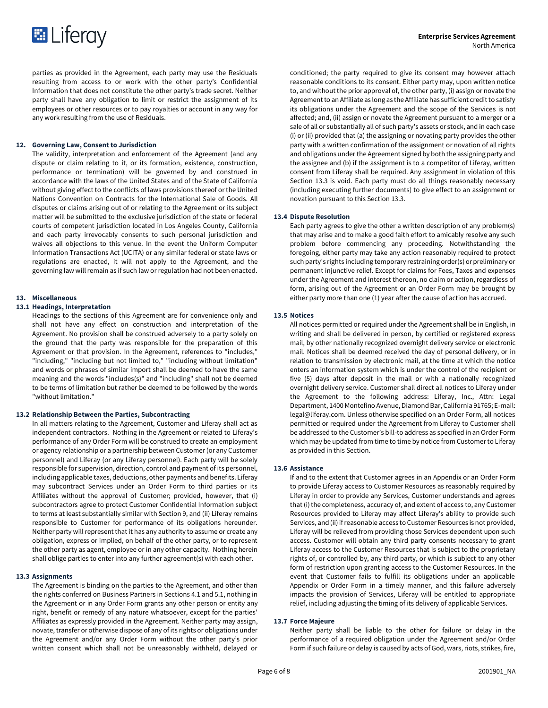

parties as provided in the Agreement, each party may use the Residuals resulting from access to or work with the other party's Confidential Information that does not constitute the other party's trade secret. Neither party shall have any obligation to limit or restrict the assignment of its employees or other resources or to pay royalties or account in any way for any work resulting from the use of Residuals.

#### **12. Governing Law, Consent to Jurisdiction**

The validity, interpretation and enforcement of the Agreement (and any dispute or claim relating to it, or its formation, existence, construction, performance or termination) will be governed by and construed in accordance with the laws of the United States and of the State of California without giving effect to the conflicts of laws provisions thereof or the United Nations Convention on Contracts for the International Sale of Goods. All disputes or claims arising out of or relating to the Agreement or its subject matter will be submitted to the exclusive jurisdiction of the state or federal courts of competent jurisdiction located in Los Angeles County, California and each party irrevocably consents to such personal jurisdiction and waives all objections to this venue. In the event the Uniform Computer Information Transactions Act (UCITA) or any similar federal or state laws or regulations are enacted, it will not apply to the Agreement, and the governing law will remain as if such law or regulation had not been enacted.

#### **13. Miscellaneous**

#### **13.1 Headings, Interpretation**

Headings to the sections of this Agreement are for convenience only and shall not have any effect on construction and interpretation of the Agreement. No provision shall be construed adversely to a party solely on the ground that the party was responsible for the preparation of this Agreement or that provision. In the Agreement, references to "includes," "including," "including but not limited to," "including without limitation" and words or phrases of similar import shall be deemed to have the same meaning and the words "includes(s)" and "including" shall not be deemed to be terms of limitation but rather be deemed to be followed by the words "without limitation."

#### **13.2 Relationship Between the Parties, Subcontracting**

In all matters relating to the Agreement, Customer and Liferay shall act as independent contractors. Nothing in the Agreement or related to Liferay's performance of any Order Form will be construed to create an employment or agency relationship or a partnership between Customer (or any Customer personnel) and Liferay (or any Liferay personnel). Each party will be solely responsible for supervision, direction, control and payment of its personnel, including applicable taxes, deductions, other payments and benefits. Liferay may subcontract Services under an Order Form to third parties or its Affiliates without the approval of Customer; provided, however, that (i) subcontractors agree to protect Customer Confidential Information subject to terms at least substantially similar with Section 9, and (ii) Liferay remains responsible to Customer for performance of its obligations hereunder. Neither party will represent that it has any authority to assume or create any obligation, express or implied, on behalf of the other party, or to represent the other party as agent, employee or in any other capacity. Nothing herein shall oblige parties to enter into any further agreement(s) with each other.

# **13.3 Assignments**

The Agreement is binding on the parties to the Agreement, and other than the rights conferred on Business Partners in Sections 4.1 and 5.1, nothing in the Agreement or in any Order Form grants any other person or entity any right, benefit or remedy of any nature whatsoever, except for the parties' Affiliates as expressly provided in the Agreement. Neither party may assign, novate, transfer or otherwise dispose of any of its rights or obligations under the Agreement and/or any Order Form without the other party's prior written consent which shall not be unreasonably withheld, delayed or

conditioned; the party required to give its consent may however attach reasonable conditions to its consent. Either party may, upon written notice to, and without the prior approval of, the other party, (i) assign or novate the Agreement to an Affiliate as long as the Affiliate has sufficient credit to satisfy its obligations under the Agreement and the scope of the Services is not affected; and, (ii) assign or novate the Agreement pursuant to a merger or a sale of all or substantially all of such party's assets or stock, and in each case (i) or (ii) provided that (a) the assigning or novating party provides the other party with a written confirmation of the assignment or novation of all rights and obligations under the Agreement signed by both the assigning party and the assignee and (b) if the assignment is to a competitor of Liferay, written consent from Liferay shall be required. Any assignment in violation of this Section 13.3 is void. Each party must do all things reasonably necessary (including executing further documents) to give effect to an assignment or novation pursuant to this Section 13.3.

#### **13.4 Dispute Resolution**

Each party agrees to give the other a written description of any problem(s) that may arise and to make a good faith effort to amicably resolve any such problem before commencing any proceeding. Notwithstanding the foregoing, either party may take any action reasonably required to protect such party's rights including temporary restraining order(s) or preliminary or permanent injunctive relief. Except for claims for Fees, Taxes and expenses under the Agreement and interest thereon, no claim or action, regardless of form, arising out of the Agreement or an Order Form may be brought by either party more than one (1) year after the cause of action has accrued.

# **13.5 Notices**

All notices permitted or required under the Agreement shall be in English, in writing and shall be delivered in person, by certified or registered express mail, by other nationally recognized overnight delivery service or electronic mail. Notices shall be deemed received the day of personal delivery, or in relation to transmission by electronic mail, at the time at which the notice enters an information system which is under the control of the recipient or five (5) days after deposit in the mail or with a nationally recognized overnight delivery service. Customer shall direct all notices to Liferay under the Agreement to the following address: Liferay, Inc., Attn: Legal Department, 1400 Montefino Avenue, Diamond Bar, California 91765; E-mail: legal@liferay.com. Unless otherwise specified on an Order Form, all notices permitted or required under the Agreement from Liferay to Customer shall be addressed to the Customer's bill-to address as specified in an Order Form which may be updated from time to time by notice from Customer to Liferay as provided in this Section.

#### **13.6 Assistance**

If and to the extent that Customer agrees in an Appendix or an Order Form to provide Liferay access to Customer Resources as reasonably required by Liferay in order to provide any Services, Customer understands and agrees that (i) the completeness, accuracy of, and extent of access to, any Customer Resources provided to Liferay may affect Liferay's ability to provide such Services, and (ii) if reasonable access to Customer Resources is not provided, Liferay will be relieved from providing those Services dependent upon such access. Customer will obtain any third party consents necessary to grant Liferay access to the Customer Resources that is subject to the proprietary rights of, or controlled by, any third party, or which is subject to any other form of restriction upon granting access to the Customer Resources. In the event that Customer fails to fulfill its obligations under an applicable Appendix or Order Form in a timely manner, and this failure adversely impacts the provision of Services, Liferay will be entitled to appropriate relief, including adjusting the timing of its delivery of applicable Services.

#### **13.7 Force Majeure**

Neither party shall be liable to the other for failure or delay in the performance of a required obligation under the Agreement and/or Order Form if such failure or delay is caused by acts of God, wars, riots, strikes, fire,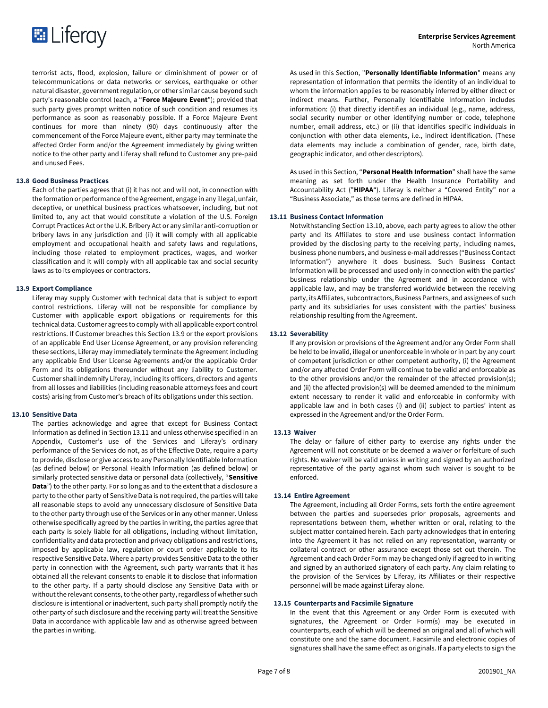

terrorist acts, flood, explosion, failure or diminishment of power or of telecommunications or data networks or services, earthquake or other natural disaster, government regulation, or other similar cause beyond such party's reasonable control (each, a "**Force Majeure Event**"); provided that such party gives prompt written notice of such condition and resumes its performance as soon as reasonably possible. If a Force Majeure Event continues for more than ninety (90) days continuously after the commencement of the Force Majeure event, either party may terminate the affected Order Form and/or the Agreement immediately by giving written notice to the other party and Liferay shall refund to Customer any pre-paid and unused Fees.

## **13.8 Good Business Practices**

Each of the parties agrees that (i) it has not and will not, in connection with the formation or performance of the Agreement, engage in any illegal, unfair, deceptive, or unethical business practices whatsoever, including, but not limited to, any act that would constitute a violation of the U.S. Foreign Corrupt Practices Act or the U.K. Bribery Act or any similar anti-corruption or bribery laws in any jurisdiction and (ii) it will comply with all applicable employment and occupational health and safety laws and regulations, including those related to employment practices, wages, and worker classification and it will comply with all applicable tax and social security laws as to its employees or contractors.

## **13.9 Export Compliance**

Liferay may supply Customer with technical data that is subject to export control restrictions. Liferay will not be responsible for compliance by Customer with applicable export obligations or requirements for this technical data. Customer agrees to comply with all applicable export control restrictions. If Customer breaches this Section 13.9 or the export provisions of an applicable End User License Agreement, or any provision referencing these sections, Liferay may immediately terminate the Agreement including any applicable End User License Agreements and/or the applicable Order Form and its obligations thereunder without any liability to Customer. Customer shall indemnify Liferay, including its officers, directors and agents from all losses and liabilities (including reasonable attorneys fees and court costs) arising from Customer's breach of its obligations under this section.

# **13.10 Sensitive Data**

The parties acknowledge and agree that except for Business Contact Information as defined in Section 13.11 and unless otherwise specified in an Appendix, Customer's use of the Services and Liferay's ordinary performance of the Services do not, as of the Effective Date, require a party to provide, disclose or give access to any Personally Identifiable Information (as defined below) or Personal Health Information (as defined below) or similarly protected sensitive data or personal data (collectively, "**Sensitive Data**") to the other party. For so long as and to the extent that a disclosure a party to the other party of Sensitive Data is not required, the parties will take all reasonable steps to avoid any unnecessary disclosure of Sensitive Data to the other party through use of the Services or in any other manner. Unless otherwise specifically agreed by the parties in writing, the parties agree that each party is solely liable for all obligations, including without limitation, confidentiality and data protection and privacy obligations and restrictions, imposed by applicable law, regulation or court order applicable to its respective Sensitive Data. Where a party provides Sensitive Data to the other party in connection with the Agreement, such party warrants that it has obtained all the relevant consents to enable it to disclose that information to the other party. If a party should disclose any Sensitive Data with or without the relevant consents, to the other party, regardless of whether such disclosure is intentional or inadvertent, such party shall promptly notify the other party of such disclosure and the receiving party will treat the Sensitive Data in accordance with applicable law and as otherwise agreed between the parties in writing.

As used in this Section, "**Personally Identifiable Information**" means any representation of information that permits the identity of an individual to whom the information applies to be reasonably inferred by either direct or indirect means. Further, Personally Identifiable Information includes information: (i) that directly identifies an individual (e.g., name, address, social security number or other identifying number or code, telephone number, email address, etc.) or (ii) that identifies specific individuals in conjunction with other data elements, i.e., indirect identification. (These data elements may include a combination of gender, race, birth date, geographic indicator, and other descriptors).

As used in this Section, "**Personal Health Information**" shall have the same meaning as set forth under the Health Insurance Portability and Accountability Act ("**HIPAA**"). Liferay is neither a "Covered Entity" nor a "Business Associate," as those terms are defined in HIPAA.

#### **13.11 Business Contact Information**

Notwithstanding Section 13.10, above, each party agrees to allow the other party and its Affiliates to store and use business contact information provided by the disclosing party to the receiving party, including names, business phone numbers, and business e-mail addresses ("Business Contact Information") anywhere it does business. Such Business Contact Information will be processed and used only in connection with the parties' business relationship under the Agreement and in accordance with applicable law, and may be transferred worldwide between the receiving party, its Affiliates, subcontractors, Business Partners, and assignees of such party and its subsidiaries for uses consistent with the parties' business relationship resulting from the Agreement.

# **13.12 Severability**

If any provision or provisions of the Agreement and/or any Order Form shall be held to be invalid, illegal or unenforceable in whole or in part by any court of competent jurisdiction or other competent authority, (i) the Agreement and/or any affected Order Form will continue to be valid and enforceable as to the other provisions and/or the remainder of the affected provision(s); and (ii) the affected provision(s) will be deemed amended to the minimum extent necessary to render it valid and enforceable in conformity with applicable law and in both cases (i) and (ii) subject to parties' intent as expressed in the Agreement and/or the Order Form.

#### **13.13 Waiver**

The delay or failure of either party to exercise any rights under the Agreement will not constitute or be deemed a waiver or forfeiture of such rights. No waiver will be valid unless in writing and signed by an authorized representative of the party against whom such waiver is sought to be enforced.

#### **13.14 Entire Agreement**

The Agreement, including all Order Forms, sets forth the entire agreement between the parties and supersedes prior proposals, agreements and representations between them, whether written or oral, relating to the subject matter contained herein. Each party acknowledges that in entering into the Agreement it has not relied on any representation, warranty or collateral contract or other assurance except those set out therein. The Agreement and each Order Form may be changed only if agreed to in writing and signed by an authorized signatory of each party. Any claim relating to the provision of the Services by Liferay, its Affiliates or their respective personnel will be made against Liferay alone.

## **13.15 Counterparts and Facsimile Signature**

In the event that this Agreement or any Order Form is executed with signatures, the Agreement or Order Form(s) may be executed in counterparts, each of which will be deemed an original and all of which will constitute one and the same document. Facsimile and electronic copies of signatures shall have the same effect as originals. If a party elects to sign the